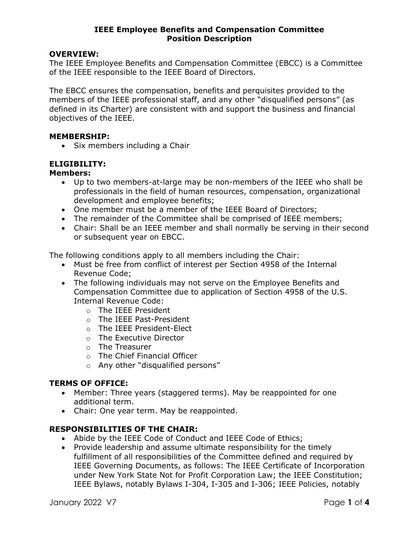## OVERVIEW:

The IEEE Employee Benefits and Compensation Committee (EBCC) is a Committee of the IEEE responsible to the IEEE Board of Directors.

The EBCC ensures the compensation, benefits and perquisites provided to the members of the IEEE professional staff, and any other "disqualified persons" (as defined in its Charter) are consistent with and support the business and financial objectives of the IEEE.

## MEMBERSHIP:

• Six members including a Chair

# ELIGIBILITY:

#### Members:

- Up to two members-at-large may be non-members of the IEEE who shall be professionals in the field of human resources, compensation, organizational development and employee benefits;
- One member must be a member of the IEEE Board of Directors;
- The remainder of the Committee shall be comprised of IEEE members;
- Chair: Shall be an IEEE member and shall normally be serving in their second or subsequent year on EBCC.

The following conditions apply to all members including the Chair:

- Must be free from conflict of interest per Section 4958 of the Internal Revenue Code;
- The following individuals may not serve on the Employee Benefits and Compensation Committee due to application of Section 4958 of the U.S. Internal Revenue Code:
	- o The IEEE President
	- o The IEEE Past-President
	- o The IEEE President-Elect
	- o The Executive Director
	- o The Treasurer
	- o The Chief Financial Officer
	- o Any other "disqualified persons"

# TERMS OF OFFICE:

- Member: Three years (staggered terms). May be reappointed for one additional term.
- Chair: One year term. May be reappointed.

# RESPONSIBILITIES OF THE CHAIR:

- Abide by the IEEE Code of Conduct and IEEE Code of Ethics;
- Provide leadership and assume ultimate responsibility for the timely fulfillment of all responsibilities of the Committee defined and required by IEEE Governing Documents, as follows: The IEEE Certificate of Incorporation under New York State Not for Profit Corporation Law; the IEEE Constitution; IEEE Bylaws, notably Bylaws I-304, I-305 and I-306; IEEE Policies, notably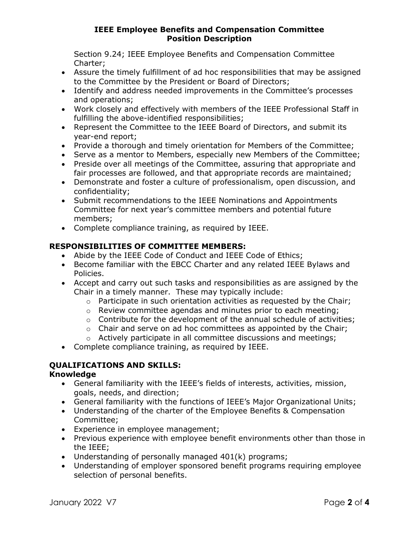Section 9.24; IEEE Employee Benefits and Compensation Committee Charter;

- Assure the timely fulfillment of ad hoc responsibilities that may be assigned to the Committee by the President or Board of Directors;
- Identify and address needed improvements in the Committee's processes and operations;
- Work closely and effectively with members of the IEEE Professional Staff in fulfilling the above-identified responsibilities;
- Represent the Committee to the IEEE Board of Directors, and submit its year-end report;
- Provide a thorough and timely orientation for Members of the Committee;
- Serve as a mentor to Members, especially new Members of the Committee;
- Preside over all meetings of the Committee, assuring that appropriate and fair processes are followed, and that appropriate records are maintained;
- Demonstrate and foster a culture of professionalism, open discussion, and confidentiality;
- Submit recommendations to the IEEE Nominations and Appointments Committee for next year's committee members and potential future members;
- Complete compliance training, as required by IEEE.

# RESPONSIBILITIES OF COMMITTEE MEMBERS:

- Abide by the IEEE Code of Conduct and IEEE Code of Ethics;
- Become familiar with the EBCC Charter and any related IEEE Bylaws and Policies.
- Accept and carry out such tasks and responsibilities as are assigned by the Chair in a timely manner. These may typically include:
	- o Participate in such orientation activities as requested by the Chair;
	- o Review committee agendas and minutes prior to each meeting;
	- o Contribute for the development of the annual schedule of activities;
	- $\circ$  Chair and serve on ad hoc committees as appointed by the Chair;
	- o Actively participate in all committee discussions and meetings;
- Complete compliance training, as required by IEEE.

# QUALIFICATIONS AND SKILLS:

# Knowledge

- General familiarity with the IEEE's fields of interests, activities, mission, goals, needs, and direction;
- General familiarity with the functions of IEEE's Major Organizational Units;
- Understanding of the charter of the Employee Benefits & Compensation Committee;
- Experience in employee management;
- Previous experience with employee benefit environments other than those in the IEEE;
- Understanding of personally managed 401(k) programs;
- Understanding of employer sponsored benefit programs requiring employee selection of personal benefits.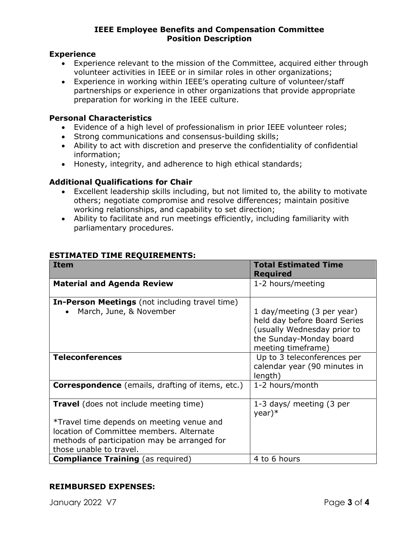# Experience

- Experience relevant to the mission of the Committee, acquired either through volunteer activities in IEEE or in similar roles in other organizations;
- Experience in working within IEEE's operating culture of volunteer/staff partnerships or experience in other organizations that provide appropriate preparation for working in the IEEE culture.

# Personal Characteristics

- Evidence of a high level of professionalism in prior IEEE volunteer roles;
- Strong communications and consensus-building skills;
- Ability to act with discretion and preserve the confidentiality of confidential information;
- Honesty, integrity, and adherence to high ethical standards;

# Additional Qualifications for Chair

- Excellent leadership skills including, but not limited to, the ability to motivate others; negotiate compromise and resolve differences; maintain positive working relationships, and capability to set direction;
- Ability to facilitate and run meetings efficiently, including familiarity with parliamentary procedures.

| <b>Item</b>                                                                                                                                                                                                       | <b>Total Estimated Time</b><br><b>Required</b>                                                                                             |
|-------------------------------------------------------------------------------------------------------------------------------------------------------------------------------------------------------------------|--------------------------------------------------------------------------------------------------------------------------------------------|
| <b>Material and Agenda Review</b>                                                                                                                                                                                 | 1-2 hours/meeting                                                                                                                          |
| <b>In-Person Meetings</b> (not including travel time)                                                                                                                                                             |                                                                                                                                            |
| March, June, & November                                                                                                                                                                                           | 1 day/meeting (3 per year)<br>held day before Board Series<br>(usually Wednesday prior to<br>the Sunday-Monday board<br>meeting timeframe) |
| <b>Teleconferences</b>                                                                                                                                                                                            | Up to 3 teleconferences per<br>calendar year (90 minutes in<br>length)                                                                     |
| <b>Correspondence</b> (emails, drafting of items, etc.)                                                                                                                                                           | 1-2 hours/month                                                                                                                            |
| <b>Travel</b> (does not include meeting time)<br>*Travel time depends on meeting venue and<br>location of Committee members. Alternate<br>methods of participation may be arranged for<br>those unable to travel. | 1-3 days/ meeting (3 per<br>$year)*$                                                                                                       |
| <b>Compliance Training</b> (as required)                                                                                                                                                                          | 4 to 6 hours                                                                                                                               |

# ESTIMATED TIME REQUIREMENTS:

# REIMBURSED EXPENSES: